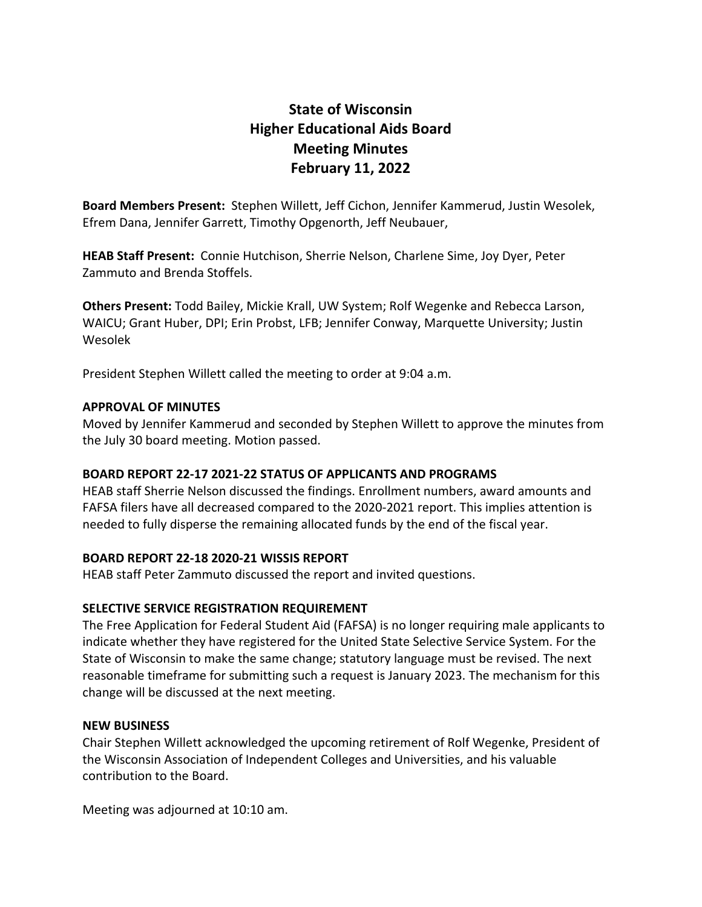# **State of Wisconsin Higher Educational Aids Board Meeting Minutes February 11, 2022**

**Board Members Present:** Stephen Willett, Jeff Cichon, Jennifer Kammerud, Justin Wesolek, Efrem Dana, Jennifer Garrett, Timothy Opgenorth, Jeff Neubauer,

**HEAB Staff Present:** Connie Hutchison, Sherrie Nelson, Charlene Sime, Joy Dyer, Peter Zammuto and Brenda Stoffels.

**Others Present:** Todd Bailey, Mickie Krall, UW System; Rolf Wegenke and Rebecca Larson, WAICU; Grant Huber, DPI; Erin Probst, LFB; Jennifer Conway, Marquette University; Justin Wesolek

President Stephen Willett called the meeting to order at 9:04 a.m.

#### **APPROVAL OF MINUTES**

Moved by Jennifer Kammerud and seconded by Stephen Willett to approve the minutes from the July 30 board meeting. Motion passed.

## **BOARD REPORT 22-17 2021-22 STATUS OF APPLICANTS AND PROGRAMS**

HEAB staff Sherrie Nelson discussed the findings. Enrollment numbers, award amounts and FAFSA filers have all decreased compared to the 2020-2021 report. This implies attention is needed to fully disperse the remaining allocated funds by the end of the fiscal year.

#### **BOARD REPORT 22-18 2020-21 WISSIS REPORT**

HEAB staff Peter Zammuto discussed the report and invited questions.

## **SELECTIVE SERVICE REGISTRATION REQUIREMENT**

The Free Application for Federal Student Aid (FAFSA) is no longer requiring male applicants to indicate whether they have registered for the United State Selective Service System. For the State of Wisconsin to make the same change; statutory language must be revised. The next reasonable timeframe for submitting such a request is January 2023. The mechanism for this change will be discussed at the next meeting.

#### **NEW BUSINESS**

Chair Stephen Willett acknowledged the upcoming retirement of Rolf Wegenke, President of the Wisconsin Association of Independent Colleges and Universities, and his valuable contribution to the Board.

Meeting was adjourned at 10:10 am.